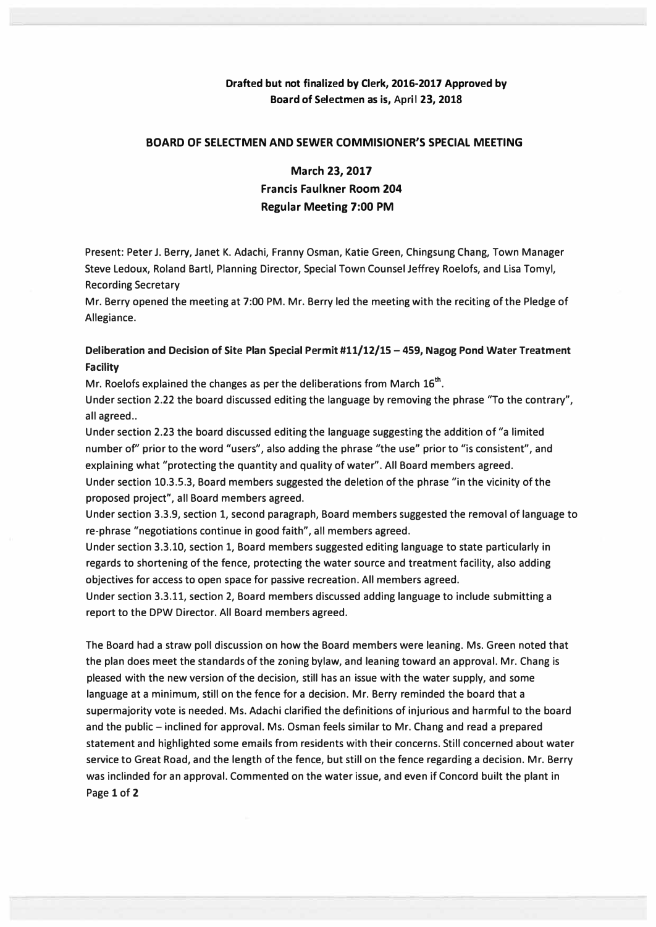### **Drafted but not finalized by Clerk, 2016-2017 Approved by Board of Selectmen as is, April 23, 2018**

#### **BOARD OF SELECTMEN AND SEWER COMMISIONER'S SPECIAL MEETING**

# **March 23, 2017 Francis Faulkner Room 204 Regular Meeting 7:00 PM**

**Present: Peter J. Berry, Janet K. Adachi, Franny Osman, Katie Green, Chingsung Chang, Town Manager Steve Ledoux, Roland Bartl, Planning Director, Special Town Counsel Jeffrey Roelofs, and Lisa Tomyl, Recording Secretary** 

**Mr. Berry opened the meeting at 7:00 PM. Mr. Berry led the meeting with the reciting of the Pledge of Allegiance.** 

### **Deliberation and Decision of Site Plan Special Permit #11/12/15 - 459, Nagog Pond Water Treatment Facility**

**Mr. Roelofs explained the changes as per the deliberations from March 16th •** 

**Under section 2.22 the board discussed editing the language by removing the phrase "To the contrary", all agreed ..** 

**Under section 2.23 the board discussed editing the language suggesting the addition of "a limited number of' prior to the word "users", also adding the phrase "the use" prior to "is consistent", and explaining what "protecting the quantity and quality of water". All Board members agreed. Under section 10.3.5.3, Board members suggested the deletion of the phrase "in the vicinity of the** 

**proposed project", all Board members agreed.** 

**Under section 3.3.9, section 1, second paragraph, Board members suggested the removal of language to re-phrase "negotiations continue in good faith", all members agreed.** 

**Under section 3.3.10, section 1, Board members suggested editing language to state particularly in regards to shortening of the fence, protecting the water source and treatment facility, also adding objectives for access to open space for passive recreation. All members agreed.** 

**Under section 3.3.11, section 2, Board members discussed adding language to include submitting a report to the DPW Director. All Board members agreed.** 

**The Board had a straw poll discussion on how the Board members were leaning. Ms. Green noted that the plan does meet the standards of the zoning bylaw, and leaning toward an approval. Mr. Chang is pleased with the new version of the decision, still has an issue with the water supply, and some language at a minimum, still on the fence for a decision. Mr. Berry reminded the board that a supermajority vote is needed. Ms. Adachi clarified the definitions of injurious and harmful to the board and the public - inclined for approval. Ms. Osman feels similar to Mr. Chang and read a prepared statement and highlighted some emails from residents with their concerns. Still concerned about water service to Great Road, and the length of the fence, but still on the fence regarding a decision. Mr. Berry was inclinded for an approval. Commented on the water issue, and even if Concord built the plant in Page 1 of 2**